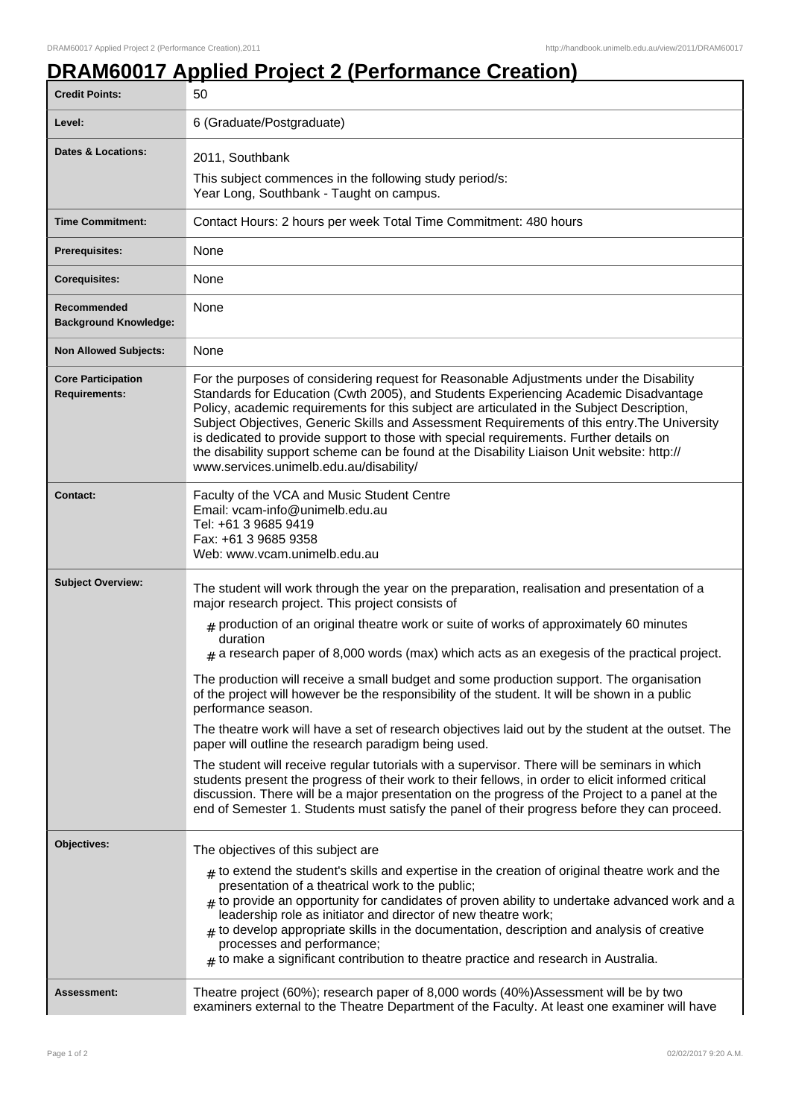## **DRAM60017 Applied Project 2 (Performance Creation)**

| <b>Credit Points:</b>                             | 50                                                                                                                                                                                                                                                                                                                                                                                                                                                                                                                                                                                                               |
|---------------------------------------------------|------------------------------------------------------------------------------------------------------------------------------------------------------------------------------------------------------------------------------------------------------------------------------------------------------------------------------------------------------------------------------------------------------------------------------------------------------------------------------------------------------------------------------------------------------------------------------------------------------------------|
| Level:                                            | 6 (Graduate/Postgraduate)                                                                                                                                                                                                                                                                                                                                                                                                                                                                                                                                                                                        |
| <b>Dates &amp; Locations:</b>                     | 2011, Southbank<br>This subject commences in the following study period/s:<br>Year Long, Southbank - Taught on campus.                                                                                                                                                                                                                                                                                                                                                                                                                                                                                           |
| <b>Time Commitment:</b>                           | Contact Hours: 2 hours per week Total Time Commitment: 480 hours                                                                                                                                                                                                                                                                                                                                                                                                                                                                                                                                                 |
| Prerequisites:                                    | None                                                                                                                                                                                                                                                                                                                                                                                                                                                                                                                                                                                                             |
| <b>Corequisites:</b>                              | None                                                                                                                                                                                                                                                                                                                                                                                                                                                                                                                                                                                                             |
| Recommended<br><b>Background Knowledge:</b>       | None                                                                                                                                                                                                                                                                                                                                                                                                                                                                                                                                                                                                             |
| <b>Non Allowed Subjects:</b>                      | None                                                                                                                                                                                                                                                                                                                                                                                                                                                                                                                                                                                                             |
| <b>Core Participation</b><br><b>Requirements:</b> | For the purposes of considering request for Reasonable Adjustments under the Disability<br>Standards for Education (Cwth 2005), and Students Experiencing Academic Disadvantage<br>Policy, academic requirements for this subject are articulated in the Subject Description,<br>Subject Objectives, Generic Skills and Assessment Requirements of this entry. The University<br>is dedicated to provide support to those with special requirements. Further details on<br>the disability support scheme can be found at the Disability Liaison Unit website: http://<br>www.services.unimelb.edu.au/disability/ |
| <b>Contact:</b>                                   | Faculty of the VCA and Music Student Centre<br>Email: vcam-info@unimelb.edu.au<br>Tel: +61 3 9685 9419<br>Fax: +61 3 9685 9358<br>Web: www.ycam.unimelb.edu.au                                                                                                                                                                                                                                                                                                                                                                                                                                                   |
| <b>Subject Overview:</b>                          | The student will work through the year on the preparation, realisation and presentation of a<br>major research project. This project consists of                                                                                                                                                                                                                                                                                                                                                                                                                                                                 |
|                                                   | $*$ production of an original theatre work or suite of works of approximately 60 minutes<br>duration<br>$#$ a research paper of 8,000 words (max) which acts as an exegesis of the practical project.                                                                                                                                                                                                                                                                                                                                                                                                            |
|                                                   | The production will receive a small budget and some production support. The organisation<br>of the project will however be the responsibility of the student. It will be shown in a public<br>performance season.                                                                                                                                                                                                                                                                                                                                                                                                |
|                                                   | The theatre work will have a set of research objectives laid out by the student at the outset. The<br>paper will outline the research paradigm being used.                                                                                                                                                                                                                                                                                                                                                                                                                                                       |
|                                                   | The student will receive regular tutorials with a supervisor. There will be seminars in which<br>students present the progress of their work to their fellows, in order to elicit informed critical<br>discussion. There will be a major presentation on the progress of the Project to a panel at the<br>end of Semester 1. Students must satisfy the panel of their progress before they can proceed.                                                                                                                                                                                                          |
| Objectives:                                       | The objectives of this subject are                                                                                                                                                                                                                                                                                                                                                                                                                                                                                                                                                                               |
|                                                   | $_{\#}$ to extend the student's skills and expertise in the creation of original theatre work and the<br>presentation of a theatrical work to the public;<br>$#$ to provide an opportunity for candidates of proven ability to undertake advanced work and a<br>leadership role as initiator and director of new theatre work;<br>$#$ to develop appropriate skills in the documentation, description and analysis of creative<br>processes and performance;<br>$*$ to make a significant contribution to theatre practice and research in Australia.                                                            |
| Assessment:                                       | Theatre project (60%); research paper of 8,000 words (40%) Assessment will be by two<br>examiners external to the Theatre Department of the Faculty. At least one examiner will have                                                                                                                                                                                                                                                                                                                                                                                                                             |